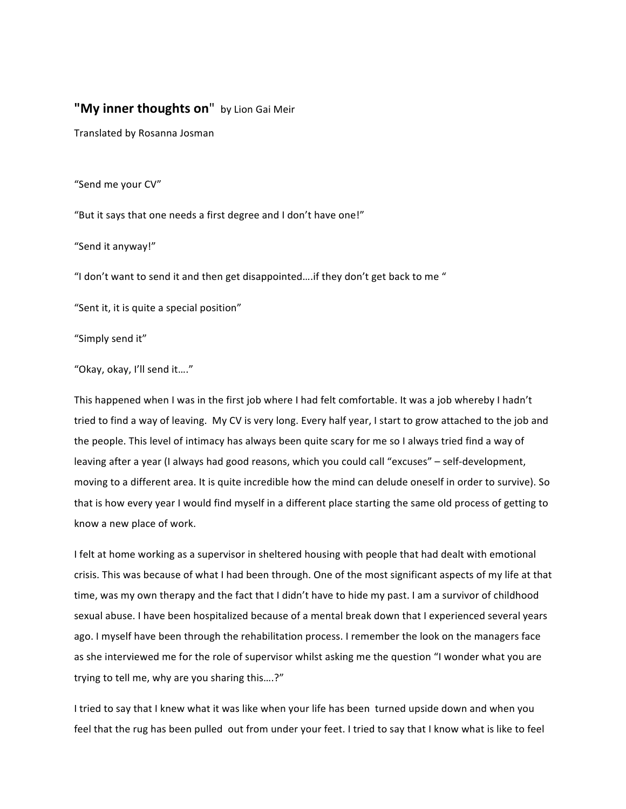## "My inner thoughts on" by Lion Gai Meir

Translated by Rosanna Josman

"Send me your CV"

"But it says that one needs a first degree and I don't have one!"

"Send it anyway!"

"I don't want to send it and then get disappointed....if they don't get back to me "

"Sent it, it is quite a special position"

"Simply send it"

"Okay, okay, I'll send it...."

This happened when I was in the first job where I had felt comfortable. It was a job whereby I hadn't tried to find a way of leaving. My CV is very long. Every half year, I start to grow attached to the job and the people. This level of intimacy has always been quite scary for me so I always tried find a way of leaving after a year (I always had good reasons, which you could call "excuses" – self-development, moving to a different area. It is quite incredible how the mind can delude oneself in order to survive). So that is how every year I would find myself in a different place starting the same old process of getting to know a new place of work.

I felt at home working as a supervisor in sheltered housing with people that had dealt with emotional crisis. This was because of what I had been through. One of the most significant aspects of my life at that time, was my own therapy and the fact that I didn't have to hide my past. I am a survivor of childhood sexual abuse. I have been hospitalized because of a mental break down that I experienced several years ago. I myself have been through the rehabilitation process. I remember the look on the managers face as she interviewed me for the role of supervisor whilst asking me the question "I wonder what you are trying to tell me, why are you sharing this....?"

I tried to say that I knew what it was like when your life has been turned upside down and when you feel that the rug has been pulled out from under your feet. I tried to say that I know what is like to feel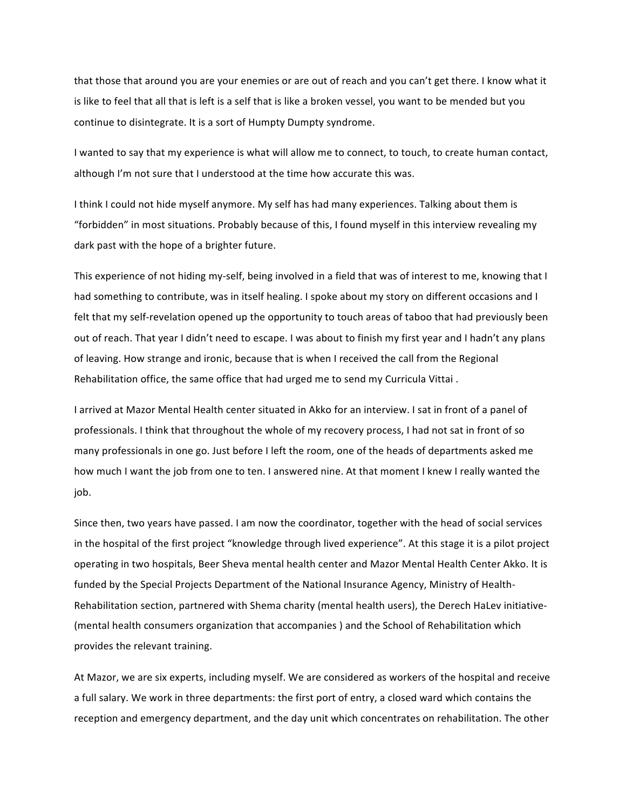that those that around you are your enemies or are out of reach and you can't get there. I know what it is like to feel that all that is left is a self that is like a broken vessel, you want to be mended but you continue to disintegrate. It is a sort of Humpty Dumpty syndrome.

I wanted to say that my experience is what will allow me to connect, to touch, to create human contact, although I'm not sure that I understood at the time how accurate this was.

I think I could not hide myself anymore. My self has had many experiences. Talking about them is "forbidden" in most situations. Probably because of this, I found myself in this interview revealing my dark past with the hope of a brighter future.

This experience of not hiding my-self, being involved in a field that was of interest to me, knowing that I had something to contribute, was in itself healing. I spoke about my story on different occasions and I felt that my self-revelation opened up the opportunity to touch areas of taboo that had previously been out of reach. That year I didn't need to escape. I was about to finish my first year and I hadn't any plans of leaving. How strange and ironic, because that is when I received the call from the Regional Rehabilitation office, the same office that had urged me to send my Curricula Vittai.

I arrived at Mazor Mental Health center situated in Akko for an interview. I sat in front of a panel of professionals. I think that throughout the whole of my recovery process, I had not sat in front of so many professionals in one go. Just before I left the room, one of the heads of departments asked me how much I want the job from one to ten. I answered nine. At that moment I knew I really wanted the job. 

Since then, two years have passed. I am now the coordinator, together with the head of social services in the hospital of the first project "knowledge through lived experience". At this stage it is a pilot project operating in two hospitals, Beer Sheva mental health center and Mazor Mental Health Center Akko. It is funded by the Special Projects Department of the National Insurance Agency, Ministry of Health-Rehabilitation section, partnered with Shema charity (mental health users), the Derech HaLev initiative-(mental health consumers organization that accompanies) and the School of Rehabilitation which provides the relevant training.

At Mazor, we are six experts, including myself. We are considered as workers of the hospital and receive a full salary. We work in three departments: the first port of entry, a closed ward which contains the reception and emergency department, and the day unit which concentrates on rehabilitation. The other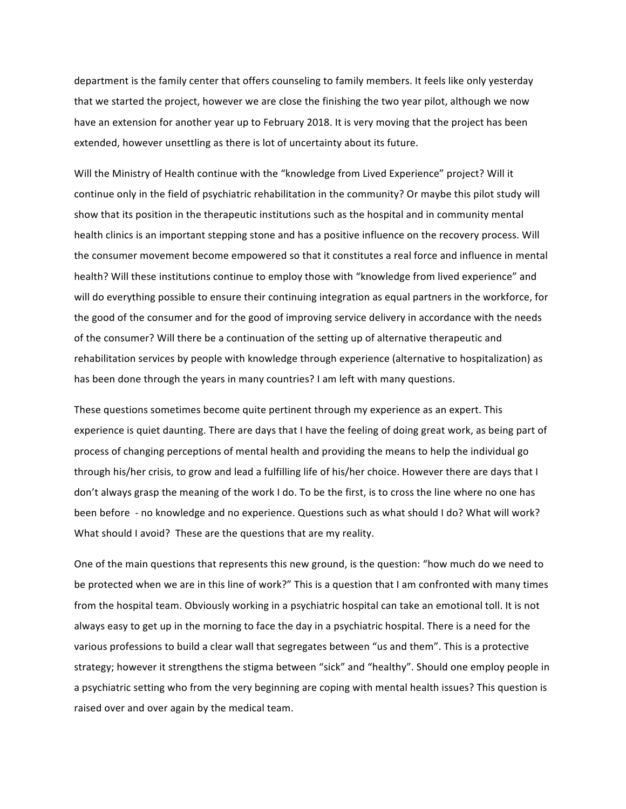department is the family center that offers counseling to family members. It feels like only yesterday that we started the project, however we are close the finishing the two year pilot, although we now have an extension for another year up to February 2018. It is very moving that the project has been extended, however unsettling as there is lot of uncertainty about its future.

Will the Ministry of Health continue with the "knowledge from Lived Experience" project? Will it continue only in the field of psychiatric rehabilitation in the community? Or maybe this pilot study will show that its position in the therapeutic institutions such as the hospital and in community mental health clinics is an important stepping stone and has a positive influence on the recovery process. Will the consumer movement become empowered so that it constitutes a real force and influence in mental health? Will these institutions continue to employ those with "knowledge from lived experience" and will do everything possible to ensure their continuing integration as equal partners in the workforce, for the good of the consumer and for the good of improving service delivery in accordance with the needs of the consumer? Will there be a continuation of the setting up of alternative therapeutic and rehabilitation services by people with knowledge through experience (alternative to hospitalization) as has been done through the years in many countries? I am left with many questions.

These questions sometimes become quite pertinent through my experience as an expert. This experience is quiet daunting. There are days that I have the feeling of doing great work, as being part of process of changing perceptions of mental health and providing the means to help the individual go through his/her crisis, to grow and lead a fulfilling life of his/her choice. However there are days that I don't always grasp the meaning of the work I do. To be the first, is to cross the line where no one has been before - no knowledge and no experience. Questions such as what should I do? What will work? What should I avoid? These are the questions that are my reality.

One of the main questions that represents this new ground, is the question: "how much do we need to be protected when we are in this line of work?" This is a question that I am confronted with many times from the hospital team. Obviously working in a psychiatric hospital can take an emotional toll. It is not always easy to get up in the morning to face the day in a psychiatric hospital. There is a need for the various professions to build a clear wall that segregates between "us and them". This is a protective strategy; however it strengthens the stigma between "sick" and "healthy". Should one employ people in a psychiatric setting who from the very beginning are coping with mental health issues? This question is raised over and over again by the medical team.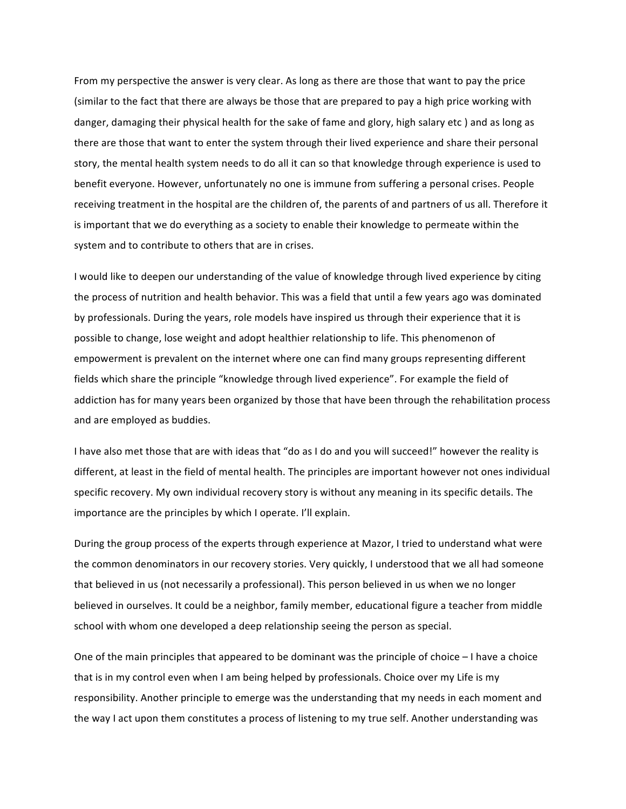From my perspective the answer is very clear. As long as there are those that want to pay the price (similar to the fact that there are always be those that are prepared to pay a high price working with danger, damaging their physical health for the sake of fame and glory, high salary etc) and as long as there are those that want to enter the system through their lived experience and share their personal story, the mental health system needs to do all it can so that knowledge through experience is used to benefit everyone. However, unfortunately no one is immune from suffering a personal crises. People receiving treatment in the hospital are the children of, the parents of and partners of us all. Therefore it is important that we do everything as a society to enable their knowledge to permeate within the system and to contribute to others that are in crises.

I would like to deepen our understanding of the value of knowledge through lived experience by citing the process of nutrition and health behavior. This was a field that until a few years ago was dominated by professionals. During the years, role models have inspired us through their experience that it is possible to change, lose weight and adopt healthier relationship to life. This phenomenon of empowerment is prevalent on the internet where one can find many groups representing different fields which share the principle "knowledge through lived experience". For example the field of addiction has for many years been organized by those that have been through the rehabilitation process and are employed as buddies.

I have also met those that are with ideas that "do as I do and you will succeed!" however the reality is different, at least in the field of mental health. The principles are important however not ones individual specific recovery. My own individual recovery story is without any meaning in its specific details. The importance are the principles by which I operate. I'll explain.

During the group process of the experts through experience at Mazor, I tried to understand what were the common denominators in our recovery stories. Very quickly, I understood that we all had someone that believed in us (not necessarily a professional). This person believed in us when we no longer believed in ourselves. It could be a neighbor, family member, educational figure a teacher from middle school with whom one developed a deep relationship seeing the person as special.

One of the main principles that appeared to be dominant was the principle of choice  $-1$  have a choice that is in my control even when I am being helped by professionals. Choice over my Life is my responsibility. Another principle to emerge was the understanding that my needs in each moment and the way I act upon them constitutes a process of listening to my true self. Another understanding was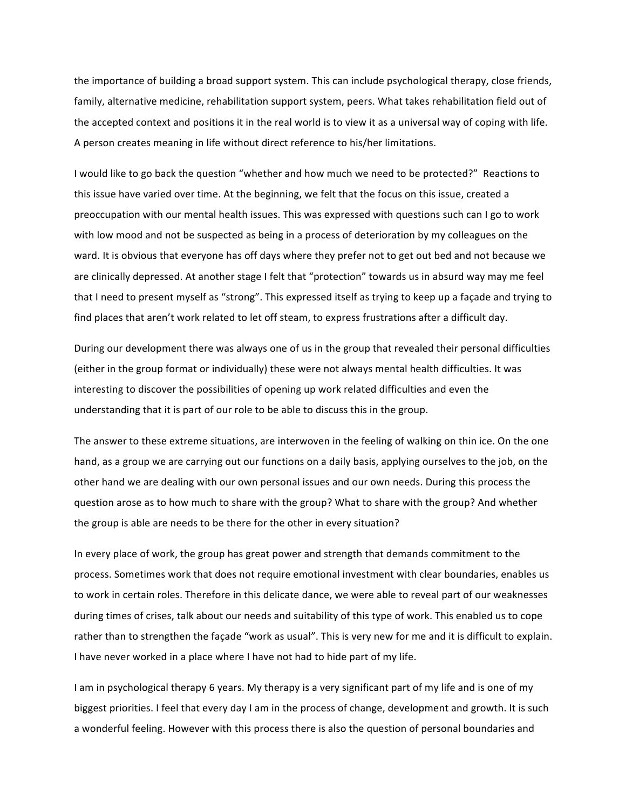the importance of building a broad support system. This can include psychological therapy, close friends, family, alternative medicine, rehabilitation support system, peers. What takes rehabilitation field out of the accepted context and positions it in the real world is to view it as a universal way of coping with life. A person creates meaning in life without direct reference to his/her limitations.

I would like to go back the question "whether and how much we need to be protected?" Reactions to this issue have varied over time. At the beginning, we felt that the focus on this issue, created a preoccupation with our mental health issues. This was expressed with questions such can I go to work with low mood and not be suspected as being in a process of deterioration by my colleagues on the ward. It is obvious that everyone has off days where they prefer not to get out bed and not because we are clinically depressed. At another stage I felt that "protection" towards us in absurd way may me feel that I need to present myself as "strong". This expressed itself as trying to keep up a façade and trying to find places that aren't work related to let off steam, to express frustrations after a difficult day.

During our development there was always one of us in the group that revealed their personal difficulties (either in the group format or individually) these were not always mental health difficulties. It was interesting to discover the possibilities of opening up work related difficulties and even the understanding that it is part of our role to be able to discuss this in the group.

The answer to these extreme situations, are interwoven in the feeling of walking on thin ice. On the one hand, as a group we are carrying out our functions on a daily basis, applying ourselves to the job, on the other hand we are dealing with our own personal issues and our own needs. During this process the question arose as to how much to share with the group? What to share with the group? And whether the group is able are needs to be there for the other in every situation?

In every place of work, the group has great power and strength that demands commitment to the process. Sometimes work that does not require emotional investment with clear boundaries, enables us to work in certain roles. Therefore in this delicate dance, we were able to reveal part of our weaknesses during times of crises, talk about our needs and suitability of this type of work. This enabled us to cope rather than to strengthen the façade "work as usual". This is very new for me and it is difficult to explain. I have never worked in a place where I have not had to hide part of my life.

I am in psychological therapy 6 years. My therapy is a very significant part of my life and is one of my biggest priorities. I feel that every day I am in the process of change, development and growth. It is such a wonderful feeling. However with this process there is also the question of personal boundaries and